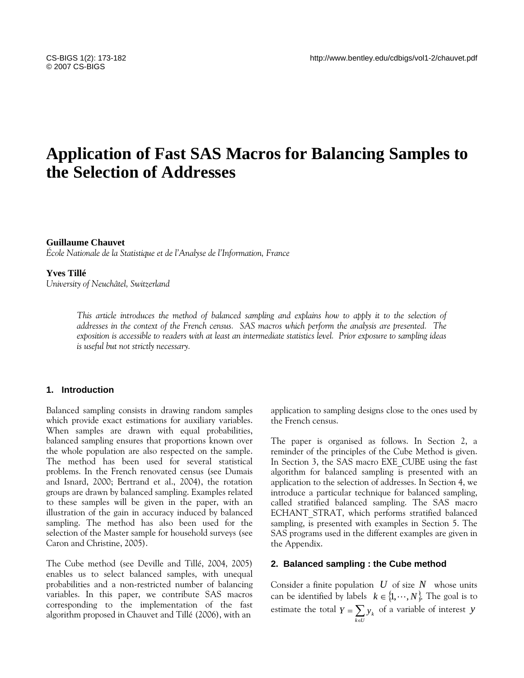# **Application of Fast SAS Macros for Balancing Samples to the Selection of Addresses**

## **Guillaume Chauvet**

*École Nationale de la Statistique et de l'Analyse de l'Information, France* 

## **Yves Tillé**

*University of Neuchâtel, Switzerland*

*This article introduces the method of balanced sampling and explains how to apply it to the selection of addresses in the context of the French census. SAS macros which perform the analysis are presented. The exposition is accessible to readers with at least an intermediate statistics level. Prior exposure to sampling ideas is useful but not strictly necessary.* 

## **1. Introduction**

Balanced sampling consists in drawing random samples which provide exact estimations for auxiliary variables. When samples are drawn with equal probabilities, balanced sampling ensures that proportions known over the whole population are also respected on the sample. The method has been used for several statistical problems. In the French renovated census (see Dumais and Isnard, 2000; Bertrand et al., 2004), the rotation groups are drawn by balanced sampling. Examples related to these samples will be given in the paper, with an illustration of the gain in accuracy induced by balanced sampling. The method has also been used for the selection of the Master sample for household surveys (see Caron and Christine, 2005).

The Cube method (see Deville and Tillé, 2004, 2005) enables us to select balanced samples, with unequal probabilities and a non-restricted number of balancing variables. In this paper, we contribute SAS macros corresponding to the implementation of the fast algorithm proposed in Chauvet and Tillé (2006), with an

application to sampling designs close to the ones used by the French census.

The paper is organised as follows. In Section 2, a reminder of the principles of the Cube Method is given. In Section 3, the SAS macro EXE\_CUBE using the fast algorithm for balanced sampling is presented with an application to the selection of addresses. In Section 4, we introduce a particular technique for balanced sampling, called stratified balanced sampling. The SAS macro ECHANT STRAT, which performs stratified balanced sampling, is presented with examples in Section 5. The SAS programs used in the different examples are given in the Appendix.

## **2. Balanced sampling : the Cube method**

Consider a finite population  $U$  of size  $N$  whose units can be identified by labels  $k \in \{1, \cdots, N\}$ . The goal is to estimate the total  $Y = \sum_{k \in U}$  $Y = \sum_{k \in U} y_k$  of a variable of interest *y*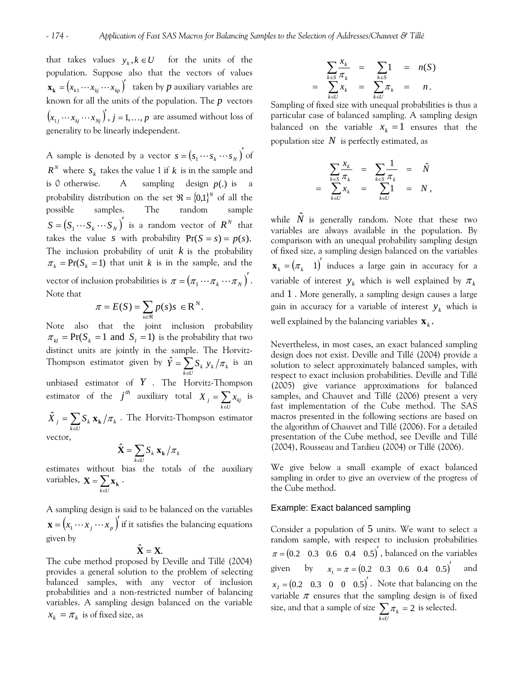that takes values  $y_k, k \in U$  for the units of the population. Suppose also that the vectors of values  $\mathbf{x_k} = (x_{k1} \cdots x_{kj} \cdots x_{kp})'$  taken by  $p$  auxiliary variables are known for all the units of the population. The *p* vectors  $(x_{i_1} \cdots x_{i_i} \cdots x_{i_j})'$ ,  $j = 1, ..., p$  are assumed without loss of generality to be linearly independent.

A sample is denoted by a vector  $s = (s_1 \cdots s_k \cdots s_N)$  of  $R^N$  where  $s_k$  takes the value 1 if  $k$  is in the sample and is 0 otherwise. A sampling design  $p(.)$  is a probability distribution on the set  $\mathfrak{R} = \{0,1\}^N$  of all the possible samples. The random sample  $S = (S_1 \cdots S_k \cdots S_N)^T$  is a random vector of  $R^N$  that takes the value *s* with probability  $Pr(S = s) = p(s)$ . The inclusion probability of unit  $k$  is the probability  $\pi_k = \text{Pr}(S_k = 1)$  that unit k is in the sample, and the vector of inclusion probabilities is  $\pi = (\pi_1 \cdots \pi_k \cdots \pi_N)^T$ . Note that

$$
\pi = E(S) = \sum_{s \in \mathfrak{R}} p(s) s \in \mathbb{R}^N.
$$

 $\pi_{kl}$  = Pr( $S_k$  = 1 and  $S_l$  = 1) is the probability that two Note also that the joint inclusion probability distinct units are jointly in the sample. The Horvitz-Thompson estimator given by  $\hat{Y} = \sum_{k \in U}$  $\hat{Y} = \sum_{k \in U} S_k y_k / \pi_k$  is an unbiased estimator of *Y* . The Horvitz-Thompson estimator of the  $j^{th}$  auxiliary total  $X_j = \sum_{k \in U}$  $X_j = \sum_{k \in U} x_{kj}$  is  $=\sum_{k\in U}$  $\hat{X}_j = \sum_{k \in U} S_k \mathbf{x_k} / \pi_k$  . The Horvitz-Thompson estimator vector,

$$
\hat{\mathbf{X}} = \sum_{k \in U} \mathbf{S}_k \mathbf{x_k} / \pi_k
$$

estimates without bias the totals of the auxiliary variables,  $\mathbf{X} = \sum_{k \in U} \mathbf{x}_k$ . =  $\mathbf{X} = \sum_{k \in U} \mathbf{x}_k$ 

 $\mathbf{x} = (x_1 \cdots x_j \cdots x_p)'$  if it satisfies the balancing equations A sampling design is said to be balanced on the variables given by

$$
\hat{\mathbf{X}}=\mathbf{X}.
$$

 $x_k = \pi_k$  is of fixed size, as The cube method proposed by Deville and Tillé (2004) provides a general solution to the problem of selecting balanced samples, with any vector of inclusion probabilities and a non-restricted number of balancing variables. A sampling design balanced on the variable

$$
\sum_{k \in S} \frac{x_k}{\pi_k} = \sum_{k \in S} 1 = n(S)
$$
  
= 
$$
\sum_{k \in U} x_k = \sum_{k \in U} \pi_k = n.
$$

Sampling of fixed size with unequal probabilities is thus a particular case of balanced sampling. A sampling design balanced on the variable  $x_k = 1$  ensures that the population size  $N$  is perfectly estimated, as

$$
= \sum_{k \in S} \frac{x_k}{\pi_k} = \sum_{k \in S} \frac{1}{\pi_k} = \hat{N}
$$
  

$$
= \sum_{k \in U} x_k = \sum_{k \in U} 1 = N,
$$

while  $\hat{N}$  is generally random. Note that these two variables are always available in the population. By comparison with an unequal probability sampling design of fixed size, a sampling design balanced on the variables  $\mathbf{x}_{k} = (\pi_{k} \quad 1)$ <sup>'</sup> induces a large gain in accuracy for a variable of interest  $y_k$  which is well explained by  $\pi_k$ and 1 . More generally, a sampling design causes a large gain in accuracy for a variable of interest  $y_k$  which is well explained by the balancing variables  $\mathbf{x}_k$ .

Nevertheless, in most cases, an exact balanced sampling design does not exist. Deville and Tillé (2004) provide a solution to select approximately balanced samples, with respect to exact inclusion probabilities. Deville and Tillé (2005) give variance approximations for balanced samples, and Chauvet and Tillé (2006) present a very fast implementation of the Cube method. The SAS macros presented in the following sections are based on the algorithm of Chauvet and Tillé (2006). For a detailed presentation of the Cube method, see Deville and Tillé (2004), Rousseau and Tardieu (2004) or Tillé (2006).

We give below a small example of exact balanced sampling in order to give an overview of the progress of the Cube method.

## Example: Exact balanced sampling

Consider a population of 5 units. We want to select a random sample, with respect to inclusion probabilities  $\pi = (0.2 \quad 0.3 \quad 0.6 \quad 0.4 \quad 0.5)^{'}$ , balanced on the variables given by  $x_1 = \pi = (0.2 \quad 0.3 \quad 0.6 \quad 0.4 \quad 0.5)^{'}$  and  $x_2 = (0.2 \quad 0.3 \quad 0 \quad 0 \quad 0.5)^{'}$ . Note that balancing on the variable  $\pi$  ensures that the sampling design is of fixed size, and that a sample of size  $\sum_{k \in U} \pi_k = 2$  is selected. =  $\sum_{k\in U} \pi_k = 2$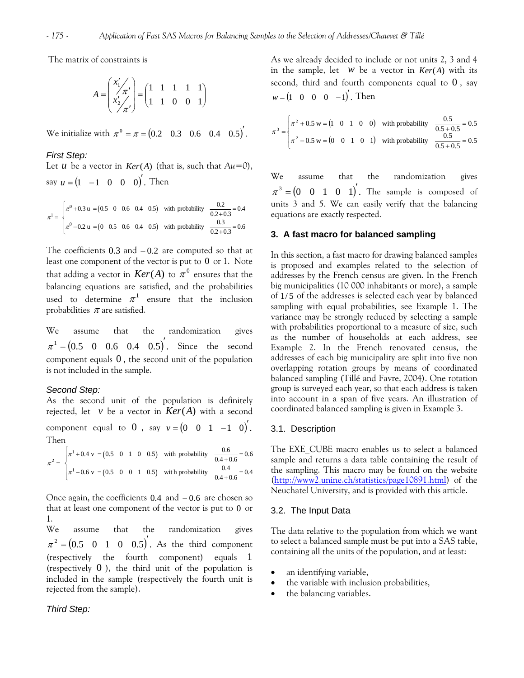The matrix of constraints is

$$
A = \begin{pmatrix} x_1' \\ x_2' \\ x_2' \end{pmatrix} = \begin{pmatrix} 1 & 1 & 1 & 1 & 1 \\ 1 & 1 & 0 & 0 & 1 \end{pmatrix}
$$

We initialize with  $\pi^0 = \pi = (0.2 \quad 0.3 \quad 0.6 \quad 0.4 \quad 0.5)$ .

## *First Step:*

Let *u* be a vector in  $Ker(A)$  (that is, such that  $Au=0$ ), say  $u = (1 \ -1 \ 0 \ 0 \ 0)$ . Then

$$
\pi^{1} = \begin{cases} \pi^{0} + 0.3 \text{ u} = (0.5 \quad 0 \quad 0.6 \quad 0.4 \quad 0.5) & \text{with probability} \quad \frac{0.2}{0.2 + 0.3} = 0.4 \\ \pi^{0} - 0.2 \text{ u} = (0 \quad 0.5 \quad 0.6 \quad 0.4 \quad 0.5) & \text{with probability} \quad \frac{0.3}{0.2 + 0.3} = 0.6 \end{cases}
$$

The coefficients  $0.3$  and  $-0.2$  are computed so that at least one component of the vector is put to  $0$  or  $1$ . Note that adding a vector in  $\mathit{Ker}(A)$  to  $\pi^0$  ensures that the balancing equations are satisfied, and the probabilities used to determine  $\pi^1$  ensure that the inclusion probabilities  $\pi$  are satisfied.

We assume that the randomization gives  $\pi^1 = (0.5 \quad 0 \quad 0.6 \quad 0.4 \quad 0.5)^t$ . Since the second component equals  $0$ , the second unit of the population is not included in the sample.

## *Second Step:*

component equal to 0, say  $v = (0 \quad 0 \quad 1 \quad -1 \quad 0)$ . As the second unit of the population is definitely rejected, let  $v$  be a vector in  $Ker(A)$  with a second Then

$$
\pi^2 = \begin{cases} \pi^1 + 0.4 \text{ v} = (0.5 \quad 0 \quad 1 \quad 0 \quad 0.5) & \text{with probability} \quad \frac{0.6}{0.4 + 0.6} = 0.6 \\ \pi^1 - 0.6 \text{ v} = (0.5 \quad 0 \quad 0 \quad 1 \quad 0.5) & \text{with probability} \quad \frac{0.4}{0.4 + 0.6} = 0.4 \end{cases}
$$

Once again, the coefficients  $0.4$  and  $-0.6$  are chosen so that at least one component of the vector is put to 0 or 1.

We assume that the randomization gives  $\pi^2 = (0.5 \quad 0 \quad 1 \quad 0 \quad 0.5)'$ . As the third component (respectively the fourth component) equals 1 (respectively  $0$ ), the third unit of the population is included in the sample (respectively the fourth unit is rejected from the sample).

## *Third Step:*

As we already decided to include or not units 2, 3 and 4 in the sample, let  $w$  be a vector in  $Ker(A)$  with its second, third and fourth components equal to  $0$ , say  $w = (1 \ 0 \ 0 \ 0 \ -1)'$ . Then

$$
\pi^3 = \begin{cases} \pi^2 + 0.5 \text{ w} = (1 \quad 0 \quad 1 \quad 0 \quad 0) & \text{with probability} \end{cases} \quad \frac{0.5}{0.5 + 0.5} = 0.5
$$

$$
\pi^2 - 0.5 \text{ w} = (0 \quad 0 \quad 1 \quad 0 \quad 1) & \text{with probability} \quad \frac{0.5}{0.5 + 0.5} = 0.5
$$

We assume that the randomization gives  $\pi^3 = (0 \quad 0 \quad 1 \quad 0 \quad 1)$ . The sample is composed of units 3 and 5. We can easily verify that the balancing equations are exactly respected.

## **3. A fast macro for balanced sampling**

In this section, a fast macro for drawing balanced samples is proposed and examples related to the selection of addresses by the French census are given. In the French big municipalities (10 000 inhabitants or more), a sample of 1/5 of the addresses is selected each year by balanced sampling with equal probabilities, see Example 1. The variance may be strongly reduced by selecting a sample with probabilities proportional to a measure of size, such as the number of households at each address, see Example 2. In the French renovated census, the addresses of each big municipality are split into five non overlapping rotation groups by means of coordinated balanced sampling (Tillé and Favre, 2004). One rotation group is surveyed each year, so that each address is taken into account in a span of five years. An illustration of coordinated balanced sampling is given in Example 3.

## 3.1. Description

The EXE\_CUBE macro enables us to select a balanced sample and returns a data table containing the result of the sampling. This macro may be found on the website ([http://www2.unine.ch/statistics/page10891.html\)](http://www2.unine.ch/statistics/page10891.html) of the Neuchatel University, and is provided with this article.

#### 3.2. The Input Data

The data relative to the population from which we want to select a balanced sample must be put into a SAS table, containing all the units of the population, and at least:

- an identifying variable,
- the variable with inclusion probabilities,
- the balancing variables.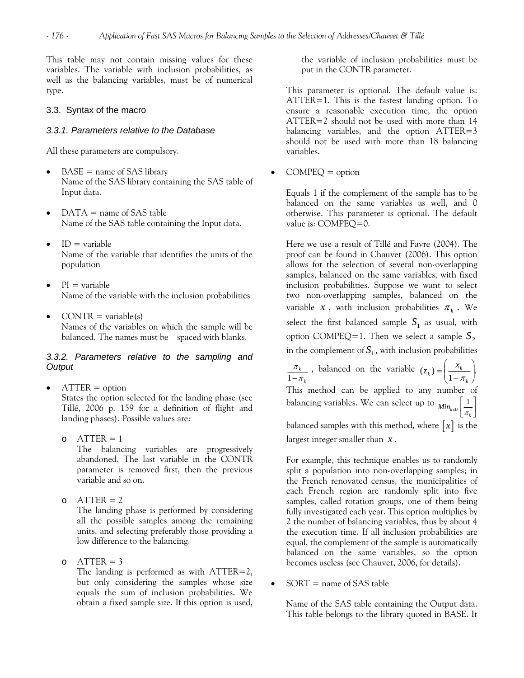This table may not contain missing values for these variables. The variable with inclusion probabilities, as well as the balancing variables, must be of numerical type.

## 3.3. Syntax of the macro

## *3.3.1. Parameters relative to the Database*

All these parameters are compulsory.

- $BASE = name of SAS library$ Name of the SAS library containing the SAS table of Input data.
- $DATA = name of SAS table$ Name of the SAS table containing the Input data.
- $ID = variable$ Name of the variable that identifies the units of the population
- $PI = variable$ Name of the variable with the inclusion probabilities
- $CONTR = variable(s)$ Names of the variables on which the sample will be balanced. The names must be spaced with blanks.

# *3.3.2. Parameters relative to the sampling and Output*

- $ATTER = option$ States the option selected for the landing phase (see Tillé, 2006 p. 159 for a definition of flight and landing phases). Possible values are:
	- $O$  ATTER = 1 The balancing variables are progressively abandoned. The last variable in the CONTR parameter is removed first, then the previous variable and so on.
	- o  $\text{ATTER} = 2$ The landing phase is performed by considering all the possible samples among the remaining units, and selecting preferably those providing a low difference to the balancing.
	- o  $\text{ATTER} = 3$ The landing is performed as with  $\text{ATTER}=2$ , but only considering the samples whose size equals the sum of inclusion probabilities. We obtain a fixed sample size. If this option is used,

the variable of inclusion probabilities must be put in the CONTR parameter.

This parameter is optional. The default value is: ATTER=1. This is the fastest landing option. To ensure a reasonable execution time, the option ATTER=2 should not be used with more than 14 balancing variables, and the option ATTER=3 should not be used with more than 18 balancing variables.

 $COMPEQ =$  option

Equals 1 if the complement of the sample has to be balanced on the same variables as well, and 0 otherwise. This parameter is optional. The default value is: COMPEQ=0.

Here we use a result of Tillé and Favre (2004). The proof can be found in Chauvet (2006). This option allows for the selection of several non-overlapping samples, balanced on the same variables, with fixed inclusion probabilities. Suppose we want to select two non-overlapping samples, balanced on the variable *x*, with inclusion probabilities  $\pi_k$ . We select the first balanced sample  $S_1$  as usual, with option COMPEQ=1. Then we select a sample 2 *S* in the complement of  $S_1$ , with inclusion probabilities

*k k* π π 1− , balanced on the variable  $(z_k) = \left| \frac{x_k}{1 - \pi} \right|$ . ⎠ ⎞  $\frac{\lambda_k}{1-\pi_k}$ ⎝  $\big($  $(z_k) = \left(\frac{x_k}{1 - \pi_k}\right).$ This method can be applied to any number of balancing variables. We can select up to  $_{Min_{k e U}}\left\lfloor \frac{1}{\pi_{_{k}}}\right\rfloor$ balanced samples with this method, where  $\lceil x \rceil$  is the

largest integer smaller than *x* .

For example, this technique enables us to randomly split a population into non-overlapping samples; in the French renovated census, the municipalities of each French region are randomly split into five samples, called rotation groups, one of them being fully investigated each year. This option multiplies by 2 the number of balancing variables, thus by about 4 the execution time. If all inclusion probabilities are equal, the complement of the sample is automatically balanced on the same variables, so the option becomes useless (see Chauvet, 2006, for details).

 $SORT$  = name of SAS table

Name of the SAS table containing the Output data. This table belongs to the library quoted in BASE. It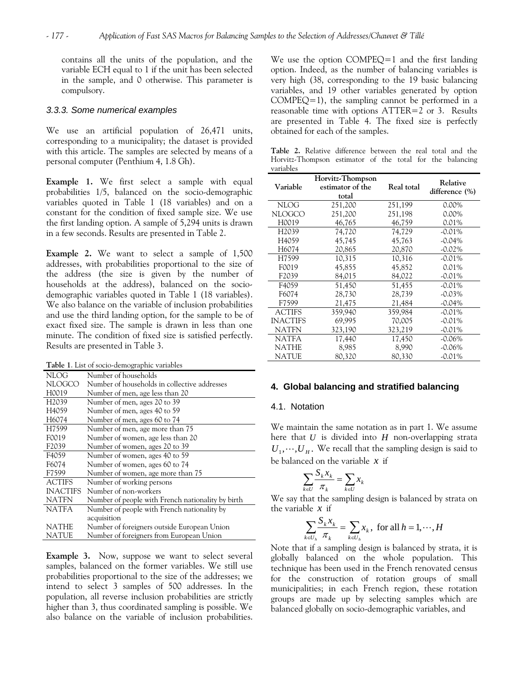contains all the units of the population, and the variable ECH equal to 1 if the unit has been selected in the sample, and 0 otherwise. This parameter is compulsory.

#### *3.3.3. Some numerical examples*

We use an artificial population of 26,471 units, corresponding to a municipality; the dataset is provided with this article. The samples are selected by means of a personal computer (Penthium 4, 1.8 Gh).

**Example 1.** We first select a sample with equal probabilities 1/5, balanced on the socio-demographic variables quoted in Table 1 (18 variables) and on a constant for the condition of fixed sample size. We use the first landing option. A sample of 5,294 units is drawn in a few seconds. Results are presented in Table 2.

**Example 2.** We want to select a sample of 1,500 addresses, with probabilities proportional to the size of the address (the size is given by the number of households at the address), balanced on the sociodemographic variables quoted in Table 1 (18 variables). We also balance on the variable of inclusion probabilities and use the third landing option, for the sample to be of exact fixed size. The sample is drawn in less than one minute. The condition of fixed size is satisfied perfectly. Results are presented in Table 3.

**Table 1**. List of socio-demographic variables

| <b>NLOG</b>        | Number of households                              |
|--------------------|---------------------------------------------------|
| NLOGCO             | Number of households in collective addresses      |
| H0019              | Number of men, age less than 20                   |
| H <sub>2</sub> 039 | Number of men, ages 20 to 39                      |
| H <sub>4059</sub>  | Number of men, ages 40 to 59                      |
| H6074              | Number of men, ages 60 to 74                      |
| H <sub>7599</sub>  | Number of men, age more than 75                   |
| F0019              | Number of women, age less than 20                 |
| F <sub>2</sub> 039 | Number of women, ages 20 to 39                    |
| F4059              | Number of women, ages 40 to 59                    |
| F6074              | Number of women, ages 60 to 74                    |
| F7599              | Number of women, age more than 75                 |
| <b>ACTIFS</b>      | Number of working persons                         |
| <b>INACTIFS</b>    | Number of non-workers                             |
| <b>NATFN</b>       | Number of people with French nationality by birth |
| <b>NATFA</b>       | Number of people with French nationality by       |
|                    | acquisition                                       |
| NATHE              | Number of foreigners outside European Union       |
| NATUE              | Number of foreigners from European Union          |

**Example 3.** Now, suppose we want to select several samples, balanced on the former variables. We still use probabilities proportional to the size of the addresses; we intend to select 3 samples of 500 addresses. In the population, all reverse inclusion probabilities are strictly higher than 3, thus coordinated sampling is possible. We also balance on the variable of inclusion probabilities.

We use the option COMPEQ=1 and the first landing option. Indeed, as the number of balancing variables is very high (38, corresponding to the 19 basic balancing variables, and 19 other variables generated by option  $COMPEQ=1$ , the sampling cannot be performed in a reasonable time with options ATTER=2 or 3. Results are presented in Table 4. The fixed size is perfectly obtained for each of the samples.

**Table 2.** Relative difference between the real total and the Horvitz-Thompson estimator of the total for the balancing variables

| Variable           | Horvitz-Thompson<br>estimator of the<br>total | Real total | Relative<br>difference (%) |
|--------------------|-----------------------------------------------|------------|----------------------------|
| <b>NLOG</b>        | 251,200                                       | 251,199    | $0.00\%$                   |
| <b>NLOGCO</b>      | 251,200                                       | 251,198    | $0.00\%$                   |
| H0019              | 46,765                                        | 46,759     | 0.01%                      |
| H <sub>2</sub> 039 | 74,720                                        | 74,729     | $-0.01\%$                  |
| H <sub>4059</sub>  | 45,745                                        | 45,763     | $-0.04\%$                  |
| H6074              | 20,865                                        | 20,870     | $-0.02\%$                  |
| H7599              | 10,315                                        | 10,316     | $-0.01\%$                  |
| F0019              | 45,855                                        | 45,852     | 0.01%                      |
| F <sub>2039</sub>  | 84,015                                        | 84,022     | $-0.01\%$                  |
| F4059              | 51,450                                        | 51,455     | $-0.01\%$                  |
| F6074              | 28,730                                        | 28,739     | $-0.03\%$                  |
| F7599              | 21,475                                        | 21,484     | $-0.04\%$                  |
| <b>ACTIFS</b>      | 359,940                                       | 359,984    | $-0.01\%$                  |
| <b>INACTIFS</b>    | 69,995                                        | 70,005     | $-0.01\%$                  |
| <b>NATFN</b>       | 323,190                                       | 323,219    | $-0.01\%$                  |
| <b>NATFA</b>       | 17,440                                        | 17,450     | $-0.06\%$                  |
| <b>NATHE</b>       | 8,985                                         | 8,990      | $-0.06\%$                  |
| <b>NATUE</b>       | 80,320                                        | 80,330     | $-0.01\%$                  |

## **4. Global balancing and stratified balancing**

## 4.1. Notation

We maintain the same notation as in part 1. We assume here that *U* is divided into *H* non-overlapping strata  $U_1, \dots, U_H$ . We recall that the sampling design is said to be balanced on the variable *x* if

$$
\sum_{k\in U}\frac{S_kx_k}{\pi_k}=\sum_{k\in U}x_k
$$

We say that the sampling design is balanced by strata on the variable *x* if

$$
\sum_{k \in U_h} \frac{S_k x_k}{\pi_k} = \sum_{k \in U_h} x_k
$$
, for all  $h = 1, \dots, H$ 

Note that if a sampling design is balanced by strata, it is globally balanced on the whole population. This technique has been used in the French renovated census for the construction of rotation groups of small municipalities; in each French region, these rotation groups are made up by selecting samples which are balanced globally on socio-demographic variables, and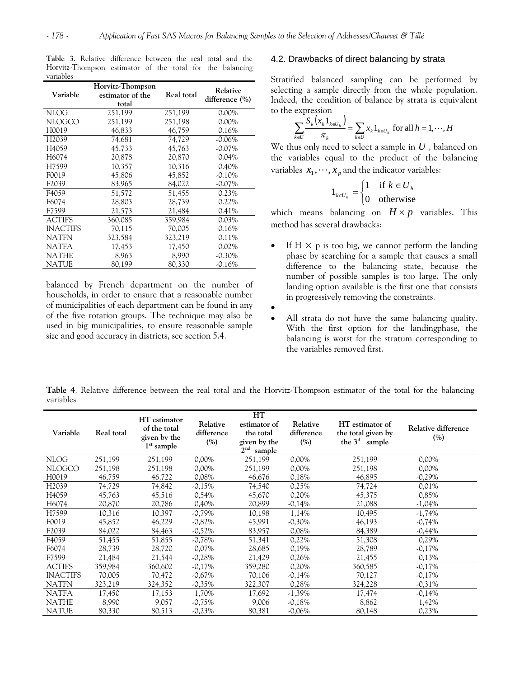| Variable           | Horvitz-Thompson<br>estimator of the<br>total | Real total | Relative<br>difference (%) |  |  |  |
|--------------------|-----------------------------------------------|------------|----------------------------|--|--|--|
| <b>NLOG</b>        | 251,199                                       | 251,199    | $0.00\%$                   |  |  |  |
| <b>NLOGCO</b>      | 251,199                                       | 251,198    | $0.00\%$                   |  |  |  |
| H0019              | 46,833                                        | 46,759     | 0.16%                      |  |  |  |
| H <sub>2039</sub>  | 74.681                                        | 74.729     | $-0.06\%$                  |  |  |  |
| H <sub>4059</sub>  | 45,733                                        | 45,763     | $-0.07\%$                  |  |  |  |
| H6074              | 20,878                                        | 20,870     | $0.04\%$                   |  |  |  |
| H7599              | 10,357                                        | 10,316     | 0.40%                      |  |  |  |
| F0019              | 45,806                                        | 45,852     | $-0.10%$                   |  |  |  |
| F <sub>2</sub> 039 | 83,965                                        | 84,022     | $-0.07\%$                  |  |  |  |
| F4059              | 51,572                                        | 51,455     | 0.23%                      |  |  |  |
| F6074              | 28,803                                        | 28,739     | $0.22\%$                   |  |  |  |
| F7599              | 21,573                                        | 21,484     | 0.41%                      |  |  |  |
| <b>ACTIFS</b>      | 360,085                                       | 359,984    | $0.03\%$                   |  |  |  |
| <b>INACTIFS</b>    | 70,115                                        | 70,005     | 0.16%                      |  |  |  |
| <b>NATFN</b>       | 323,584                                       | 323,219    | 0.11%                      |  |  |  |
| <b>NATFA</b>       | 17,453                                        | 17,450     | 0.02%                      |  |  |  |
| <b>NATHE</b>       | 8,963                                         | 8,990      | $-0.30\%$                  |  |  |  |
| NATUE              | 80,199                                        | 80,330     | $-0.16%$                   |  |  |  |

Horvitz-Thompson estimator of the total for the balancing variables **Table 3**. Relative difference between the real total and the

balanced by French department on the number of households, in order to ensure that a reasonable number of municipalities of each department can be found in any of the five rotation groups. The technique may also be used in big municipalities, to ensure reasonable sample size and good accuracy in districts, see section  $5.4$ .  $b$  balancing is worst for the s

#### .2. Drawbacks of direct balancing by strata 4

Indeed, the condition of balance by strata is equivalent to the expression Stratified balanced sampling can be performed by selecting a sample directly from the whole population.

$$
\sum_{k\in U} \frac{S_k\left(x_k 1_{k\in U_h}\right)}{\pi_k} = \sum_{k\in U} x_k 1_{k\in U_h} \text{ for all } h = 1, \cdots, H
$$

We thus only need to select a sample in *U* , balanced on the variables equal to the product of the balancing variables  $x_1, \dots, x_p$  and the indicator variables:

$$
1_{k \in U_h} = \begin{cases} 1 & \text{if } k \in U_h \\ 0 & \text{otherwise} \end{cases}
$$

which means balancing on  $H \times p$  variables. This method has several drawbacks:

- landing option available is the first one that consists in progressively removing the constraints. If  $H \times p$  is too big, we cannot perform the landing phase by searching for a sample that causes a small difference to the balancing state, because the number of possible samples is too large. The only
- •
- balancing is worst for the stratum corresponding to the variables removed first. All strata do not have the same balancing quality. With the first option for the landingphase, the

**Table 4**. Relative difference between the real total and the Horvitz-Thompson estimator of the total for the balancing variables

| Variable           | Real total | HT estimator<br>of the total<br>given by the<br>$1st$ sample | Relative<br>difference<br>(%) | HT<br>estimator of<br>the total<br>given by the<br>2 <sup>nd</sup><br>sample | Relative<br>difference<br>(%) | HT estimator of<br>the total given by<br>the $3d$ sample | Relative difference<br>(%) |
|--------------------|------------|--------------------------------------------------------------|-------------------------------|------------------------------------------------------------------------------|-------------------------------|----------------------------------------------------------|----------------------------|
| <b>NLOG</b>        | 251,199    | 251,199                                                      | $0,00\%$                      | 251,199                                                                      | $0,00\%$                      | 251,199                                                  | $0,00\%$                   |
| <b>NLOGCO</b>      | 251,198    | 251,198                                                      | $0,00\%$                      | 251,199                                                                      | $0,00\%$                      | 251,198                                                  | $0,00\%$                   |
| H0019              | 46,759     | 46,722                                                       | 0,08%                         | 46,676                                                                       | 0,18%                         | 46,895                                                   | $-0,29\%$                  |
| H <sub>2</sub> 039 | 74,729     | 74,842                                                       | $-0,15%$                      | 74,540                                                                       | 0,25%                         | 74,724                                                   | 0,01%                      |
| H4059              | 45,763     | 45,516                                                       | 0,54%                         | 45,670                                                                       | 0,20%                         | 45,375                                                   | 0,85%                      |
| H6074              | 20,870     | 20,786                                                       | 0,40%                         | 20,899                                                                       | $-0,14%$                      | 21,088                                                   | $-1,04%$                   |
| H7599              | 10,316     | 10,397                                                       | $-0.79%$                      | 10,198                                                                       | 1,14%                         | 10,495                                                   | $-1,74%$                   |
| F0019              | 45,852     | 46,229                                                       | $-0,82%$                      | 45,991                                                                       | $-0,30\%$                     | 46,193                                                   | $-0.74\%$                  |
| F <sub>2</sub> 039 | 84,022     | 84,463                                                       | $-0,52\%$                     | 83,957                                                                       | $0,08\%$                      | 84,389                                                   | $-0,44\%$                  |
| F4059              | 51,455     | 51,855                                                       | $-0,78%$                      | 51,341                                                                       | 0,22%                         | 51,308                                                   | $0,29\%$                   |
| F6074              | 28,739     | 28,720                                                       | 0,07%                         | 28,685                                                                       | 0,19%                         | 28,789                                                   | $-0,17%$                   |
| F7599              | 21,484     | 21,544                                                       | $-0,28%$                      | 21,429                                                                       | 0,26%                         | 21,455                                                   | 0,13%                      |
| <b>ACTIFS</b>      | 359,984    | 360,602                                                      | $-0.17%$                      | 359,280                                                                      | 0,20%                         | 360,585                                                  | $-0.17\%$                  |
| <b>INACTIFS</b>    | 70,005     | 70,472                                                       | $-0.67\%$                     | 70.106                                                                       | $-0.14%$                      | 70,127                                                   | $-0,17%$                   |
| <b>NATFN</b>       | 323,219    | 324,352                                                      | $-0,35\%$                     | 322,307                                                                      | 0,28%                         | 324,228                                                  | $-0,31\%$                  |
| <b>NATFA</b>       | 17,450     | 17,153                                                       | 1,70%                         | 17,692                                                                       | $-1,39\%$                     | 17,474                                                   | $-0,14%$                   |
| <b>NATHE</b>       | 8,990      | 9,057                                                        | $-0.75\%$                     | 9,006                                                                        | $-0,18%$                      | 8,862                                                    | 1,42%                      |
| <b>NATUE</b>       | 80,330     | 80,513                                                       | $-0,23%$                      | 80,381                                                                       | $-0,06\%$                     | 80,148                                                   | 0,23%                      |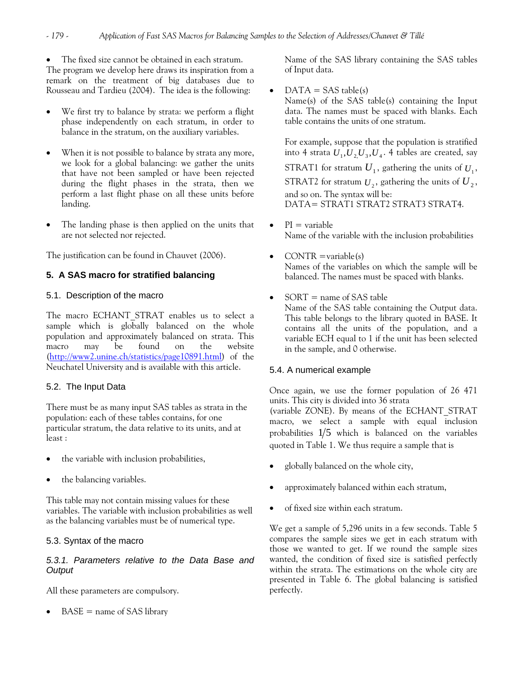The fixed size cannot be obtained in each stratum. The program we develop here draws its inspiration from a remark on the treatment of big databases due to Rousseau and Tardieu (2004). The idea is the following:

- We first try to balance by strata: we perform a flight phase independently on each stratum, in order to balance in the stratum, on the auxiliary variables.
- When it is not possible to balance by strata any more, we look for a global balancing: we gather the units that have not been sampled or have been rejected during the flight phases in the strata, then we perform a last flight phase on all these units before landing.
- The landing phase is then applied on the units that are not selected nor rejected.

The justification can be found in Chauvet (2006).

# **5. A SAS macro for stratified balancing**

## 5.1. Description of the macro

The macro ECHANT STRAT enables us to select a sample which is globally balanced on the whole population and approximately balanced on strata. This macro may be found on the website (<http://www2.unine.ch/statistics/page10891.html>) of the Neuchatel University and is available with this article.

# 5.2. The Input Data

There must be as many input SAS tables as strata in the population: each of these tables contains, for one particular stratum, the data relative to its units, and at least :

- the variable with inclusion probabilities,
- the balancing variables.

This table may not contain missing values for these variables. The variable with inclusion probabilities as well as the balancing variables must be of numerical type.

# 5.3. Syntax of the macro

## *5.3.1. Parameters relative to the Data Base and Output*

All these parameters are compulsory.

 $BASE = name of SAS library$ 

Name of the SAS library containing the SAS tables of Input data.

 $DATA = SAS$  table(s)

Name(s) of the SAS table(s) containing the Input data. The names must be spaced with blanks. Each table contains the units of one stratum.

For example, suppose that the population is stratified into 4 strata  $U_1, U_2, U_3, U_4$ . 4 tables are created, say STRAT1 for stratum  $U_1$ , gathering the units of  $U_1$ , STRAT2 for stratum  $U_2$ , gathering the units of  $U_2$ , and so on. The syntax will be: DATA= STRAT1 STRAT2 STRAT3 STRAT4.

- $\bullet$  PI = variable Name of the variable with the inclusion probabilities
- CONTR  $=$ variable(s) Names of the variables on which the sample will be balanced. The names must be spaced with blanks.

# $SORT$  = name of SAS table

Name of the SAS table containing the Output data. This table belongs to the library quoted in BASE. It contains all the units of the population, and a variable ECH equal to 1 if the unit has been selected in the sample, and 0 otherwise.

# 5.4. A numerical example

Once again, we use the former population of 26 471 units. This city is divided into 36 strata (variable ZONE). By means of the ECHANT\_STRAT macro, we select a sample with equal inclusion probabilities  $1/5$  which is balanced on the variables quoted in Table 1. We thus require a sample that is

- globally balanced on the whole city,
- approximately balanced within each stratum,
- of fixed size within each stratum.

We get a sample of 5,296 units in a few seconds. Table 5 compares the sample sizes we get in each stratum with those we wanted to get. If we round the sample sizes wanted, the condition of fixed size is satisfied perfectly within the strata. The estimations on the whole city are presented in Table 6. The global balancing is satisfied perfectly.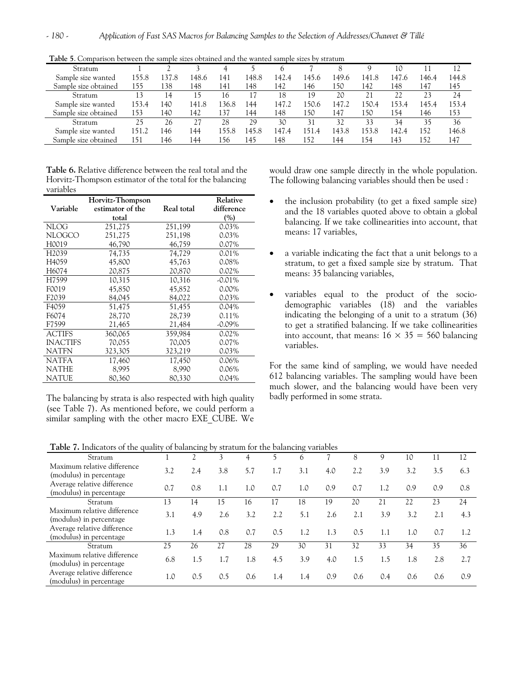| Stratum              |       |       |       |       |       |       |       |       |       | 10    |       | 12    |
|----------------------|-------|-------|-------|-------|-------|-------|-------|-------|-------|-------|-------|-------|
| Sample size wanted   | 155.8 | .37.8 | 148.6 | 141   | 148.8 | 142.4 | 145.6 | 149.6 | 141.8 | 147.6 | 146.4 | 144.8 |
| Sample size obtained | 155   | 138   | 148   | 141   | 148   | 142   | 146   | 150   | 142   | 148   | 147   | 145   |
| Stratum              | 13    | 14    | 15    | 16    | 17    | 18    | 19    | 20    | 21    |       | 23    | 24    |
| Sample size wanted   | 153.4 | 140   | 141.8 | 136.8 | 144   | 147.2 | 150.6 | 147.2 | 150.4 | 153.4 | 145.4 | 153.4 |
| Sample size obtained | 153   | 140   | 142   | 137   | 144   | 148   | 150   | 147   | 150   | 154   | 146   | 153   |
| Stratum              | 25    | 26    | 27    | 28    | 29    | 30    | 31    | 32    | 33    | 34    | 35    | 36    |
| Sample size wanted   | 151.2 | 146   | 144   | 155.8 | 145.8 | 147.4 | 151.4 | 143.8 | 153.8 | 142.4 | 152   | 146.8 |
| Sample size obtained | 151   | 146   | 144   | 56ء   | 145   | 148   | 152   | 144   | 154   | 143   | 152   | 147   |

**Table 5**. Comparison between the sample sizes obtained and the wanted sample sizes by stratum

**Table 6.** Relative difference between the real total and the Horvitz-Thompson estimator of the total for the balancing variables

|                   | Horvitz-Thompson |            | Relative   |
|-------------------|------------------|------------|------------|
| Variable          | estimator of the | Real total | difference |
|                   | total            |            | (%)        |
| <b>NLOG</b>       | 251,275          | 251,199    | 0.03%      |
| <b>NLOGCO</b>     | 251,275          | 251,198    | 0.03%      |
| H0019             | 46,790           | 46,759     | 0.07%      |
| H <sub>2039</sub> | 74,735           | 74,729     | 0.01%      |
| H <sub>4059</sub> | 45,800           | 45,763     | 0.08%      |
| H6074             | 20,875           | 20,870     | 0.02%      |
| H7599             | 10,315           | 10,316     | $-0.01\%$  |
| F0019             | 45,850           | 45,852     | $0.00\%$   |
| F2039             | 84,045           | 84,022     | $0.03\%$   |
| F4059             | 51,475           | 51,455     | 0.04%      |
| F6074             | 28,770           | 28,739     | 0.11%      |
| F7599             | 21,465           | 21,484     | $-0.09\%$  |
| <b>ACTIFS</b>     | 360,065          | 359,984    | $0.02\%$   |
| <b>INACTIFS</b>   | 70,055           | 70,005     | $0.07\%$   |
| NATFN             | 323,305          | 323,219    | $0.03\%$   |
| <b>NATFA</b>      | 17,460           | 17,450     | $0.06\%$   |
| <b>NATHE</b>      | 8,995            | 8,990      | $0.06\%$   |
| NATUE             | 80,360           | 80,330     | 0.04%      |

The balancing by strata is also respected with high quality (see Table 7). As mentioned before, we could perform a similar sampling with the other macro EXE\_CUBE. We

would draw one sample directly in the whole population. The following balancing variables should then be used :

- the inclusion probability (to get a fixed sample size) and the 18 variables quoted above to obtain a global balancing. If we take collinearities into account, that means: 17 variables,
- a variable indicating the fact that a unit belongs to a stratum, to get a fixed sample size by stratum. That means: 35 balancing variables,
- variables equal to the product of the sociodemographic variables (18) and the variables indicating the belonging of a unit to a stratum (36) to get a stratified balancing. If we take collinearities into account, that means:  $16 \times 35 = 560$  balancing variables.

For the same kind of sampling, we would have needed 612 balancing variables. The sampling would have been much slower, and the balancing would have been very badly performed in some strata.

**Table 7.** Indicators of the quality of balancing by stratum for the balancing variables

| Stratum                                                |     |     |     | 4   | 5   | 6   |     | 8   | 9   | 10  |     | 12  |
|--------------------------------------------------------|-----|-----|-----|-----|-----|-----|-----|-----|-----|-----|-----|-----|
| Maximum relative difference<br>(modulus) in percentage | 3.2 | 2.4 | 3.8 | 5.7 | 1.7 | 3.1 | 4.0 | 2.2 | 3.9 | 3.2 | 3.5 | 6.3 |
| Average relative difference<br>(modulus) in percentage | 0.7 | 0.8 | 1.1 | 1.0 | 0.7 | 1.0 | 0.9 | 0.7 | 1.2 | 0.9 | 0.9 | 0.8 |
| <b>Stratum</b>                                         | 13  | 14  | 15  | 16  |     | 18  | 19  | 20  | 21  | 22  | 23  | 24  |
| Maximum relative difference<br>(modulus) in percentage | 3.1 | 4.9 | 2.6 | 3.2 | 2.2 | 5.1 | 2.6 | 2.1 | 3.9 | 3.2 | 2.1 | 4.3 |
| Average relative difference<br>(modulus) in percentage | 1.3 | 1.4 | 0.8 | 0.7 | 0.5 | 1.2 | 1.3 | 0.5 | 1.1 | 1.0 | 0.7 | 1.2 |
| Stratum                                                | 25  | 26  | 27  | 28  | 29  | 30  | 31  | 32  | 33  | 34  | 35  | 36  |
| Maximum relative difference<br>(modulus) in percentage | 6.8 | 1.5 |     | 1.8 | 4.5 | 3.9 | 4.0 | 1.5 | 1.5 | 1.8 | 2.8 | 2.7 |
| Average relative difference<br>(modulus) in percentage | 1.0 | 0.5 | 0.5 | 0.6 | 1.4 | 1.4 | 0.9 | 0.6 | 0.4 | 0.6 | 0.6 | 0.9 |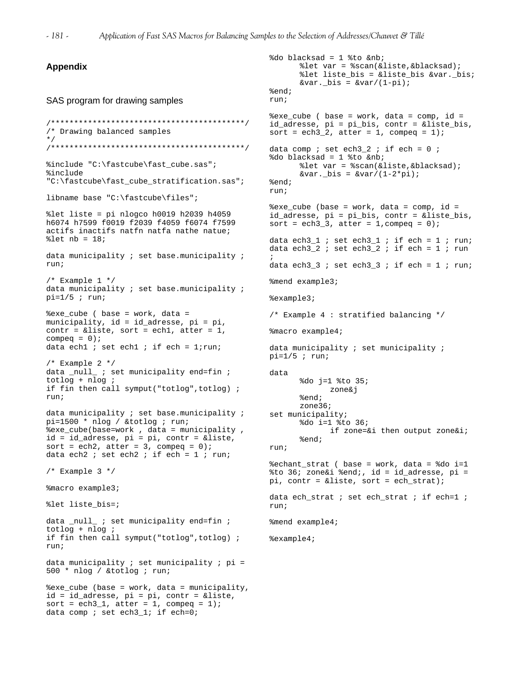```
Appendix 
SAS program for drawing samples 
/******************************************/ 
/* Drawing balanced samples 
*/ 
                                                   sort = ech3_2, atter = 1, compeq = 1);
/******************************************/ 
%include "C:\fastcube\fast_cube.sas"; 
%include 
"C:\fastcube\fast_cube_stratification.sas"; 
libname base "C:\fastcube\files"; 
%let liste = pi nlogco h0019 h2039 h4059 
h6074 h7599 f0019 f2039 f4059 f6074 f7599 
actifs inactifs natfn natfa nathe natue; 
\text{let } nb = 18;data municipality ; set base.municipality ;
run; 
/* Example 1 */data municipality ; set base.municipality ;
pi=1/5; run;
%exe_cube ( base = work, data = 
municipality, id = id_adresse, pi = pi, 
contr = &liste, sort = ech1, atter = 1,
compeq = 0;data ech1 ; set ech1 ; if ech = 1; run;
/* Example 2 */data _null_ ; set municipality end=fin ;
totlog + nlog ; 
if fin then call symput("totlog",totlog) ; 
run; 
data municipality ; set base.municipality ;
pi=1500 * nlog / &totlog ; run; 
%exe_cube(base=work , data = municipality , 
id = id_adresse, pi = pi, contr = &liste, 
sort = ech2, atter = 3, compeq = 0);
data ech2 ; set ech2 ; if ech = 1 ; run;
/* Example 3 */ 
%macro example3; 
%let liste_bis=; 
data _null_ ; set municipality end=fin ;
totlog + nlog ; 
if fin then call symput("totlog",totlog) ; 
run; 
data municipality i set municipality i pi =
500 * nlog / &totlog ; run; 
%exe_cube (base = work, data = municipality, 
id = id_adresse, pi = pi, contr = &liste, 
sort = ech3_1, atter = 1, compeq = 1);
data comp i set ech3_1; if ech=0;
                                                   %do blacksad = 1 %to &nb; 
                                                         %let var = %scan(&liste,&blacksad); 
                                                          %let liste_bis = &liste_bis &var._bis; 
                                                         &var. bits = &var/(1-pi);%end; 
                                                   run; 
                                                   %exe_cube ( base = work, data = comp, id =
                                                   id adresse, pi = pi bis, contr = &liste bis,
                                                   data comp ; set ech3_2 ; if ech = 0 ;
                                                   %do blacksad = 1 %to &nb; 
                                                         %let var = %scan(&liste,&blacksad); 
                                                         &var. \Deltais = &var/(1-2*pi);%end; 
                                                  run; 
                                                   %exe_cube (base = work, data = comp, id =
                                                   id_adresse, pi = pi_bis, contr = &liste_bis, 
                                                   sort = ech3_3, atter = 1, compeq = 0);
                                                   data ech3_1 ; set ech3_1 ; if ech = 1 ; run;
                                                   data ech3_2 ; set ech3_2 ; if ech = 1 ; run
                                                   ; 
                                                   data ech3_3 ; set ech3_3 ; if ech = 1 ; run;
                                                   %mend example3; 
                                                   %example3; 
                                                   /* Example 4 : stratified balancing */ 
                                                   %macro example4; 
                                                   data municipality ; set municipality ;
                                                  pi=1/5; run;
                                                  data 
                                                         %do j=1 %to 35; 
                                                                zone&j 
                                                         %end; 
                                                         zone36; 
                                                   set municipality; 
                                                         %do i=1 %to 36; 
                                                                 if zone=&i then output zone&i; 
                                                         %end; 
                                                   run; 
                                                   %echant_strat ( base = work, data = %do i=1 
                                                   % $to 36; zone&i %end;, id = id adresse, pi =
                                                  pi, contr = &liste, sort = ech_strat); 
                                                   data ech strat ; set ech strat ; if ech=1 ;
                                                   run; 
                                                  %mend example4; 
                                                  %example4;
```